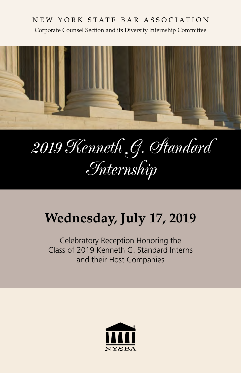#### NEW YORK STATE BAR ASSOCIATION Corporate Counsel Section and its Diversity Internship Committee



# *2019 Kenneth G. Standard Internship*

# **Wednesday, July 17, 2019**

Celebratory Reception Honoring the Class of 2019 Kenneth G. Standard Interns and their Host Companies

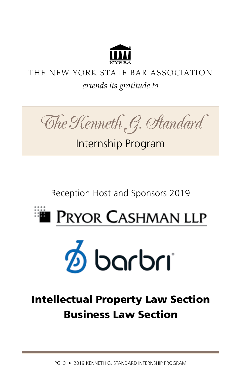

## THE NEW YORK STATE BAR ASSOCIATION *extends its gratitude to*



# Internship Program

Reception Host and Sponsors 2019

# **EXET PRYOR CASHMAN LLP**



# Intellectual Property Law Section Business Law Section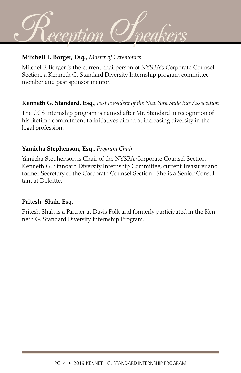

#### **Mitchell F. Borger, Esq.,** *Master of Ceremonies*

Mitchel F. Borger is the current chairperson of NYSBA's Corporate Counsel Section, a Kenneth G. Standard Diversity Internship program committee member and past sponsor mentor.

#### **Kenneth G. Standard, Esq.**, *Past President of the New York State Bar Association*

The CCS internship program is named after Mr. Standard in recognition of his lifetime commitment to initiatives aimed at increasing diversity in the legal profession.

#### **Yamicha Stephenson, Esq.**, *Program Chair*

Yamicha Stephenson is Chair of the NYSBA Corporate Counsel Section Kenneth G. Standard Diversity Internship Committee, current Treasurer and former Secretary of the Corporate Counsel Section. She is a Senior Consultant at Deloitte.

#### **Pritesh Shah, Esq.**

Pritesh Shah is a Partner at Davis Polk and formerly participated in the Kenneth G. Standard Diversity Internship Program.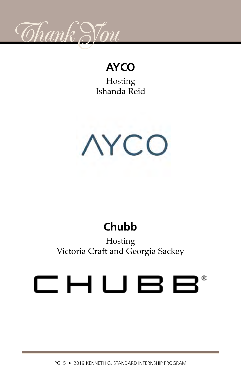

# **AYCO**

Hosting Ishanda Reid



# **Chubb**

Hosting Victoria Craft and Georgia Sackey

# CHUBB®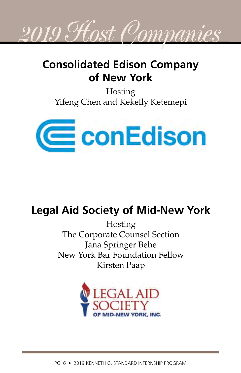

# **Consolidated Edison Company of New York**

Hosting Yifeng Chen and Kekelly Ketemepi



# **Legal Aid Society of Mid-New York**

Hosting The Corporate Counsel Section Jana Springer Behe New York Bar Foundation Fellow Kirsten Paap

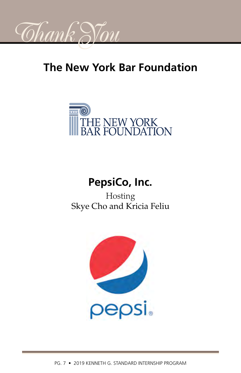

# **The New York Bar Foundation**



# **PepsiCo, Inc.**

Hosting Skye Cho and Kricia Feliu

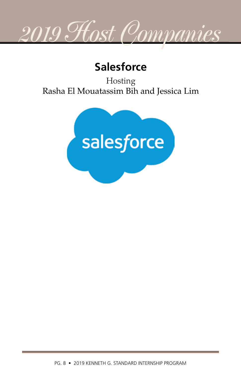

# **Salesforce**

Hosting Rasha El Mouatassim Bih and Jessica Lim

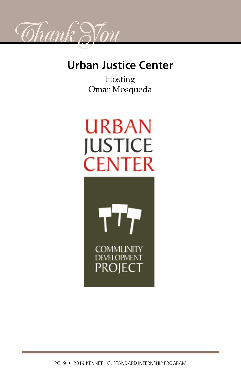

# **Urban Justice Center**

Hosting Omar Mosqueda

# **URBAN JUSTICE CENTER**

**COMMUNITY DEVELOPMENT PROJECT**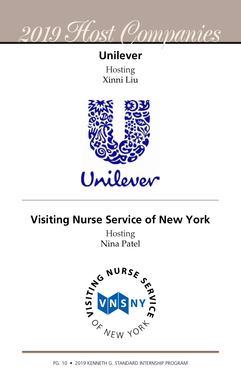

## **Unilever**

Hosting Xinni Liu



# **Visiting Nurse Service of New York**

Hosting Nina Patel

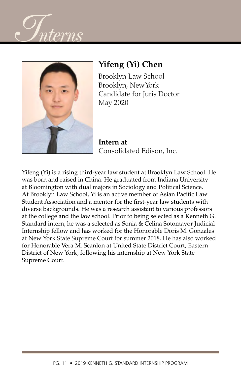



### **Yifeng (Yi) Chen**

Brooklyn Law School Brooklyn, New York Candidate for Juris Doctor May 2020

**Intern at** Consolidated Edison, Inc.

Yifeng (Yi) is a rising third-year law student at Brooklyn Law School. He was born and raised in China. He graduated from Indiana University at Bloomington with dual majors in Sociology and Political Science. At Brooklyn Law School, Yi is an active member of Asian Pacific Law Student Association and a mentor for the first-year law students with diverse backgrounds. He was a research assistant to various professors at the college and the law school. Prior to being selected as a Kenneth G. Standard intern, he was a selected as Sonia & Celina Sotomayor Judicial Internship fellow and has worked for the Honorable Doris M. Gonzales at New York State Supreme Court for summer 2018. He has also worked for Honorable Vera M. Scanlon at United State District Court, Eastern District of New York, following his internship at New York State Supreme Court.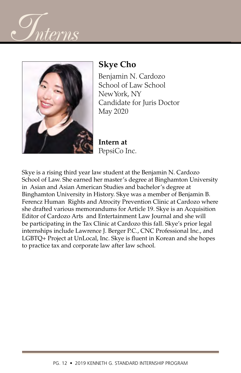



## **Skye Cho**

Benjamin N. Cardozo School of Law School New York, NY Candidate for Juris Doctor May 2020

**Intern at** PepsiCo Inc.

Skye is a rising third year law student at the Benjamin N. Cardozo School of Law. She earned her master's degree at Binghamton University in Asian and Asian American Studies and bachelor's degree at Binghamton University in History. Skye was a member of Benjamin B. Ferencz Human Rights and Atrocity Prevention Clinic at Cardozo where she drafted various memorandums for Article 19. Skye is an Acquisition Editor of Cardozo Arts and Entertainment Law Journal and she will be participating in the Tax Clinic at Cardozo this fall. Skye's prior legal internships include Lawrence J. Berger P.C., CNC Professional Inc., and LGBTQ+ Project at UnLocal, Inc. Skye is fluent in Korean and she hopes to practice tax and corporate law after law school.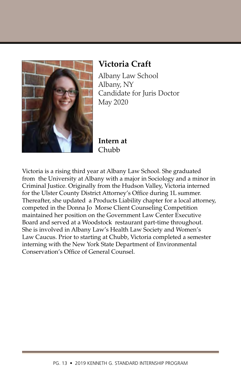

### **Victoria Craft**

Albany Law School Albany, NY Candidate for Juris Doctor May 2020

**Intern at** Chubb

Victoria is a rising third year at Albany Law School. She graduated from the University at Albany with a major in Sociology and a minor in Criminal Justice. Originally from the Hudson Valley, Victoria interned for the Ulster County District Attorney's Office during 1L summer. Thereafter, she updated a Products Liability chapter for a local attorney, competed in the Donna Jo Morse Client Counseling Competition maintained her position on the Government Law Center Executive Board and served at a Woodstock restaurant part-time throughout. She is involved in Albany Law's Health Law Society and Women's Law Caucus. Prior to starting at Chubb, Victoria completed a semester interning with the New York State Department of Environmental Conservation's Office of General Counsel.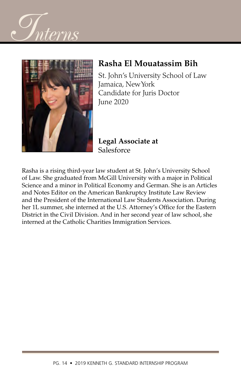



#### **Rasha El Mouatassim Bih**

St. John's University School of Law Jamaica, New York Candidate for Juris Doctor June 2020

**Legal Associate at Salesforce** 

Rasha is a rising third-year law student at St. John's University School of Law. She graduated from McGill University with a major in Political Science and a minor in Political Economy and German. She is an Articles and Notes Editor on the American Bankruptcy Institute Law Review and the President of the International Law Students Association. During her 1L summer, she interned at the U.S. Attorney's Office for the Eastern District in the Civil Division. And in her second year of law school, she interned at the Catholic Charities Immigration Services.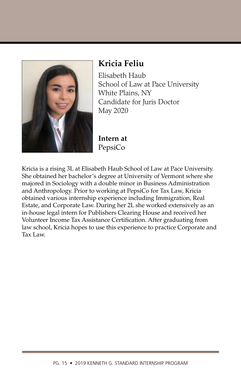

#### **Kricia Feliu**

Elisabeth Haub School of Law at Pace University White Plains, NY Candidate for Juris Doctor May 2020

**Intern at** PepsiCo

Kricia is a rising 3L at Elisabeth Haub School of Law at Pace University. She obtained her bachelor's degree at University of Vermont where she majored in Sociology with a double minor in Business Administration and Anthropology. Prior to working at PepsiCo for Tax Law, Kricia obtained various internship experience including Immigration, Real Estate, and Corporate Law. During her 2L she worked extensively as an in-house legal intern for Publishers Clearing House and received her Volunteer Income Tax Assistance Certification. After graduating from law school, Kricia hopes to use this experience to practice Corporate and Tax Law.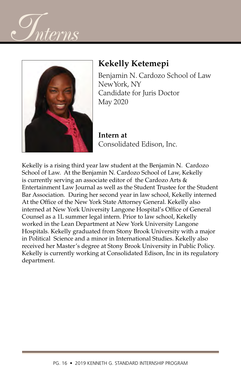



### **Kekelly Ketemepi**

Benjamin N. Cardozo School of Law New York, NY Candidate for Juris Doctor May 2020

**Intern at** Consolidated Edison, Inc.

Kekelly is a rising third year law student at the Benjamin N. Cardozo School of Law. At the Benjamin N. Cardozo School of Law, Kekelly is currently serving an associate editor of the Cardozo Arts  $\&$ Entertainment Law Journal as well as the Student Trustee for the Student Bar Association. During her second year in law school, Kekelly interned At the Office of the New York State Attorney General. Kekelly also interned at New York University Langone Hospital's Office of General Counsel as a 1L summer legal intern. Prior to law school, Kekelly worked in the Lean Department at New York University Langone Hospitals. Kekelly graduated from Stony Brook University with a major in Political Science and a minor in International Studies. Kekelly also received her Master's degree at Stony Brook University in Public Policy. Kekelly is currently working at Consolidated Edison, Inc in its regulatory department.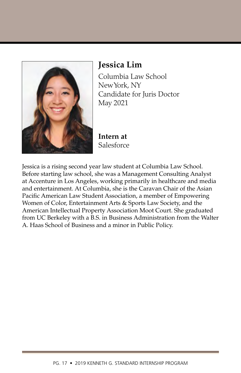

### **Jessica Lim**

Columbia Law School New York, NY Candidate for Juris Doctor May 2021

**Intern at**  Salesforce

Jessica is a rising second year law student at Columbia Law School. Before starting law school, she was a Management Consulting Analyst at Accenture in Los Angeles, working primarily in healthcare and media and entertainment. At Columbia, she is the Caravan Chair of the Asian Pacific American Law Student Association, a member of Empowering Women of Color, Entertainment Arts & Sports Law Society, and the American Intellectual Property Association Moot Court. She graduated from UC Berkeley with a B.S. in Business Administration from the Walter A. Haas School of Business and a minor in Public Policy.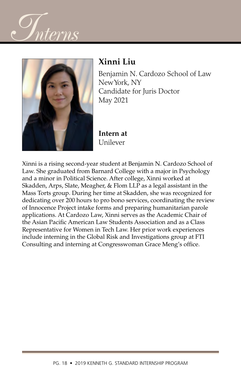



## **Xinni Liu**

Benjamin N. Cardozo School of Law New York, NY Candidate for Juris Doctor May 2021

**Intern at**  Unilever

Xinni is a rising second-year student at Benjamin N. Cardozo School of Law. She graduated from Barnard College with a major in Psychology and a minor in Political Science. After college, Xinni worked at Skadden, Arps, Slate, Meagher, & Flom LLP as a legal assistant in the Mass Torts group. During her time at Skadden, she was recognized for dedicating over 200 hours to pro bono services, coordinating the review of Innocence Project intake forms and preparing humanitarian parole applications. At Cardozo Law, Xinni serves as the Academic Chair of the Asian Pacific American Law Students Association and as a Class Representative for Women in Tech Law. Her prior work experiences include interning in the Global Risk and Investigations group at FTI Consulting and interning at Congresswoman Grace Meng's office.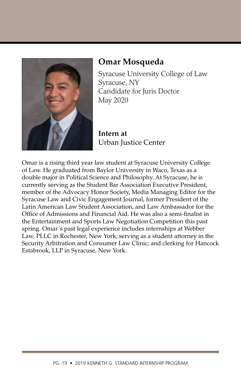

#### **Omar Mosqueda**

Syracuse University College of Law Syracuse, NY Candidate for Juris Doctor May 2020

**Intern at** Urban Justice Center

Omar is a rising third year law student at Syracuse University College of Law. He graduated from Baylor University in Waco, Texas as a double major in Political Science and Philosophy. At Syracuse, he is currently serving as the Student Bar Association Executive President, member of the Advocacy Honor Society, Media Managing Editor for the Syracuse Law and Civic Engagement Journal, former President of the Latin American Law Student Association, and Law Ambassador for the Office of Admissions and Financial Aid. He was also a semi-finalist in the Entertainment and Sports Law Negotiation Competition this past spring. Omar's past legal experience includes internships at Webber Law, PLLC in Rochester, New York; serving as a student attorney in the Security Arbitration and Consumer Law Clinic; and clerking for Hancock Estabrook, LLP in Syracuse, New York.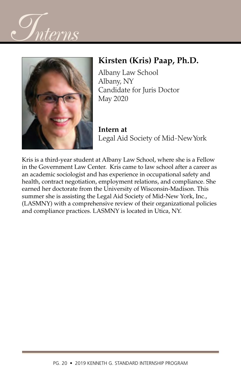



### **Kirsten (Kris) Paap, Ph.D.**

Albany Law School Albany, NY Candidate for Juris Doctor May 2020

**Intern at** Legal Aid Society of Mid-New York

Kris is a third-year student at Albany Law School, where she is a Fellow in the Government Law Center. Kris came to law school after a career as an academic sociologist and has experience in occupational safety and health, contract negotiation, employment relations, and compliance. She earned her doctorate from the University of Wisconsin-Madison. This summer she is assisting the Legal Aid Society of Mid-New York, Inc., (LASMNY) with a comprehensive review of their organizational policies and compliance practices. LASMNY is located in Utica, NY.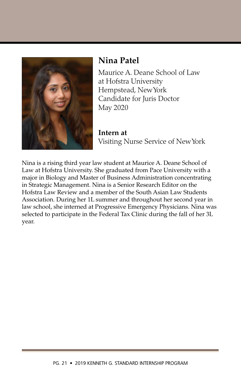

#### **Nina Patel**

Maurice A. Deane School of Law at Hofstra University Hempstead, New York Candidate for Juris Doctor May 2020

**Intern at**  Visiting Nurse Service of New York

Nina is a rising third year law student at Maurice A. Deane School of Law at Hofstra University. She graduated from Pace University with a major in Biology and Master of Business Administration concentrating in Strategic Management. Nina is a Senior Research Editor on the Hofstra Law Review and a member of the South Asian Law Students Association. During her 1L summer and throughout her second year in law school, she interned at Progressive Emergency Physicians. Nina was selected to participate in the Federal Tax Clinic during the fall of her 3L year.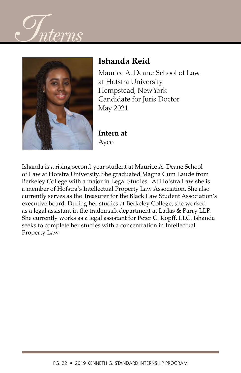



## **Ishanda Reid**

Maurice A. Deane School of Law at Hofstra University Hempstead, New York Candidate for Juris Doctor May 2021

**Intern at**  Ayco

Ishanda is a rising second-year student at Maurice A. Deane School of Law at Hofstra University. She graduated Magna Cum Laude from Berkeley College with a major in Legal Studies. At Hofstra Law she is a member of Hofstra's Intellectual Property Law Association. She also currently serves as the Treasurer for the Black Law Student Association's executive board. During her studies at Berkeley College, she worked as a legal assistant in the trademark department at Ladas & Parry LLP. She currently works as a legal assistant for Peter C. Kopff, LLC. Ishanda seeks to complete her studies with a concentration in Intellectual Property Law.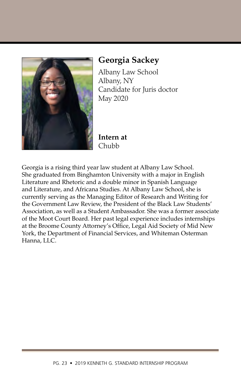

### **Georgia Sackey**

Albany Law School Albany, NY Candidate for Juris doctor May 2020

**Intern at**  Chubb

Georgia is a rising third year law student at Albany Law School. She graduated from Binghamton University with a major in English Literature and Rhetoric and a double minor in Spanish Language and Literature, and Africana Studies. At Albany Law School, she is currently serving as the Managing Editor of Research and Writing for the Government Law Review, the President of the Black Law Students' Association, as well as a Student Ambassador. She was a former associate of the Moot Court Board. Her past legal experience includes internships at the Broome County Attorney's Office, Legal Aid Society of Mid New York, the Department of Financial Services, and Whiteman Osterman Hanna, LLC.